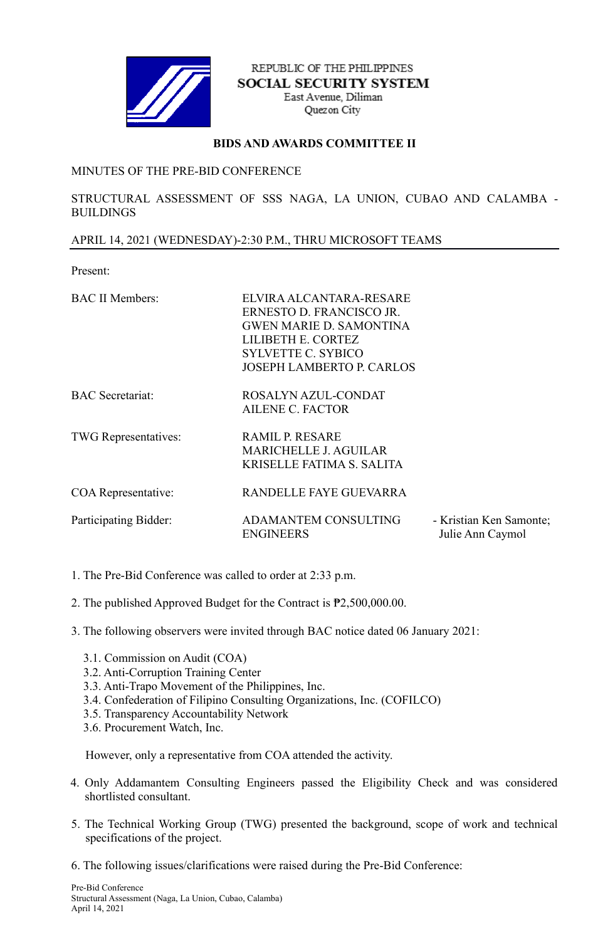

REPUBLIC OF THE PHILIPPINES **SOCIAL SECURITY SYSTEM** East Avenue, Diliman Quezon City

## **BIDS AND AWARDS COMMITTEE II**

## MINUTES OF THE PRE-BID CONFERENCE

STRUCTURAL ASSESSMENT OF SSS NAGA, LA UNION, CUBAO AND CALAMBA - BUILDINGS

## APRIL 14, 2021 (WEDNESDAY)-2:30 P.M., THRU MICROSOFT TEAMS

Present:

| <b>BAC II Members:</b>      | ELVIRA ALCANTARA-RESARE<br>ERNESTO D. FRANCISCO JR.<br><b>GWEN MARIE D. SAMONTINA</b><br>LILIBETH E. CORTEZ<br><b>SYLVETTE C. SYBICO</b><br><b>JOSEPH LAMBERTO P. CARLOS</b> |                                             |
|-----------------------------|------------------------------------------------------------------------------------------------------------------------------------------------------------------------------|---------------------------------------------|
| <b>BAC</b> Secretariat:     | ROSALYN AZUL-CONDAT<br><b>AILENE C. FACTOR</b>                                                                                                                               |                                             |
| <b>TWG</b> Representatives: | <b>RAMIL P. RESARE</b><br><b>MARICHELLE J. AGUILAR</b><br>KRISELLE FATIMA S. SALITA                                                                                          |                                             |
| COA Representative:         | RANDELLE FAYE GUEVARRA                                                                                                                                                       |                                             |
| Participating Bidder:       | <b>ADAMANTEM CONSULTING</b><br><b>ENGINEERS</b>                                                                                                                              | - Kristian Ken Samonte;<br>Julie Ann Caymol |

- 1. The Pre-Bid Conference was called to order at 2:33 p.m.
- 2. The published Approved Budget for the Contract is ₱2,500,000.00.
- 3. The following observers were invited through BAC notice dated 06 January 2021:
	- 3.1. Commission on Audit (COA)
	- 3.2. Anti-Corruption Training Center
	- 3.3. Anti-Trapo Movement of the Philippines, Inc.
	- 3.4. Confederation of Filipino Consulting Organizations, Inc. (COFILCO)
	- 3.5. Transparency Accountability Network
	- 3.6. Procurement Watch, Inc.

However, only a representative from COA attended the activity.

- 4. Only Addamantem Consulting Engineers passed the Eligibility Check and was considered shortlisted consultant.
- 5. The Technical Working Group (TWG) presented the background, scope of work and technical specifications of the project.
- 6. The following issues/clarifications were raised during the Pre-Bid Conference: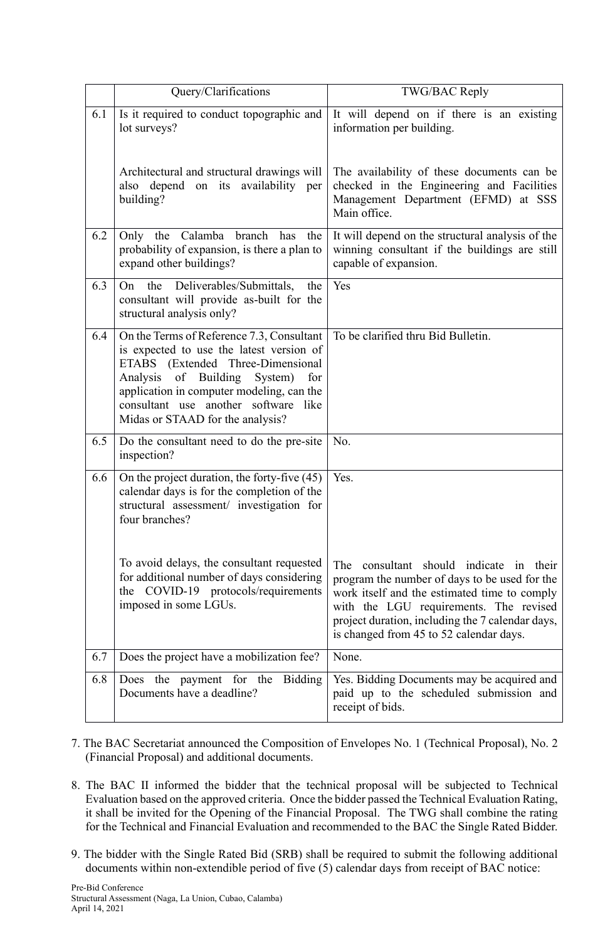|     | Query/Clarifications                                                                                                                                                                                                                                                                             | TWG/BAC Reply                                                                                                                                                                                                                                                                        |
|-----|--------------------------------------------------------------------------------------------------------------------------------------------------------------------------------------------------------------------------------------------------------------------------------------------------|--------------------------------------------------------------------------------------------------------------------------------------------------------------------------------------------------------------------------------------------------------------------------------------|
| 6.1 | Is it required to conduct topographic and<br>lot surveys?                                                                                                                                                                                                                                        | It will depend on if there is an existing<br>information per building.                                                                                                                                                                                                               |
|     | Architectural and structural drawings will<br>also depend on its availability per<br>building?                                                                                                                                                                                                   | The availability of these documents can be<br>checked in the Engineering and Facilities<br>Management Department (EFMD) at SSS<br>Main office.                                                                                                                                       |
| 6.2 | Only the Calamba branch has<br>the<br>probability of expansion, is there a plan to<br>expand other buildings?                                                                                                                                                                                    | It will depend on the structural analysis of the<br>winning consultant if the buildings are still<br>capable of expansion.                                                                                                                                                           |
| 6.3 | the<br>Deliverables/Submittals,<br>the<br>On<br>consultant will provide as-built for the<br>structural analysis only?                                                                                                                                                                            | Yes                                                                                                                                                                                                                                                                                  |
| 6.4 | On the Terms of Reference 7.3, Consultant<br>is expected to use the latest version of<br>ETABS (Extended Three-Dimensional<br>of Building<br>Analysis<br>System)<br>for<br>application in computer modeling, can the<br>consultant use another software like<br>Midas or STAAD for the analysis? | To be clarified thru Bid Bulletin.                                                                                                                                                                                                                                                   |
| 6.5 | Do the consultant need to do the pre-site<br>inspection?                                                                                                                                                                                                                                         | No.                                                                                                                                                                                                                                                                                  |
| 6.6 | On the project duration, the forty-five (45)<br>calendar days is for the completion of the<br>structural assessment/ investigation for<br>four branches?                                                                                                                                         | Yes.                                                                                                                                                                                                                                                                                 |
|     | To avoid delays, the consultant requested<br>for additional number of days considering<br>the COVID-19 protocols/requirements<br>imposed in some LGUs.                                                                                                                                           | consultant should indicate in their<br>The<br>program the number of days to be used for the<br>work itself and the estimated time to comply<br>with the LGU requirements. The revised<br>project duration, including the 7 calendar days,<br>is changed from 45 to 52 calendar days. |
| 6.7 | Does the project have a mobilization fee?                                                                                                                                                                                                                                                        | None.                                                                                                                                                                                                                                                                                |
| 6.8 | the payment for the<br><b>Bidding</b><br>Does<br>Documents have a deadline?                                                                                                                                                                                                                      | Yes. Bidding Documents may be acquired and<br>paid up to the scheduled submission and<br>receipt of bids.                                                                                                                                                                            |

- 7. The BAC Secretariat announced the Composition of Envelopes No. 1 (Technical Proposal), No. 2 (Financial Proposal) and additional documents.
- 8. The BAC II informed the bidder that the technical proposal will be subjected to Technical Evaluation based on the approved criteria. Once the bidder passed the Technical Evaluation Rating, it shall be invited for the Opening of the Financial Proposal. The TWG shall combine the rating for the Technical and Financial Evaluation and recommended to the BAC the Single Rated Bidder.
- 9. The bidder with the Single Rated Bid (SRB) shall be required to submit the following additional documents within non-extendible period of five (5) calendar days from receipt of BAC notice: